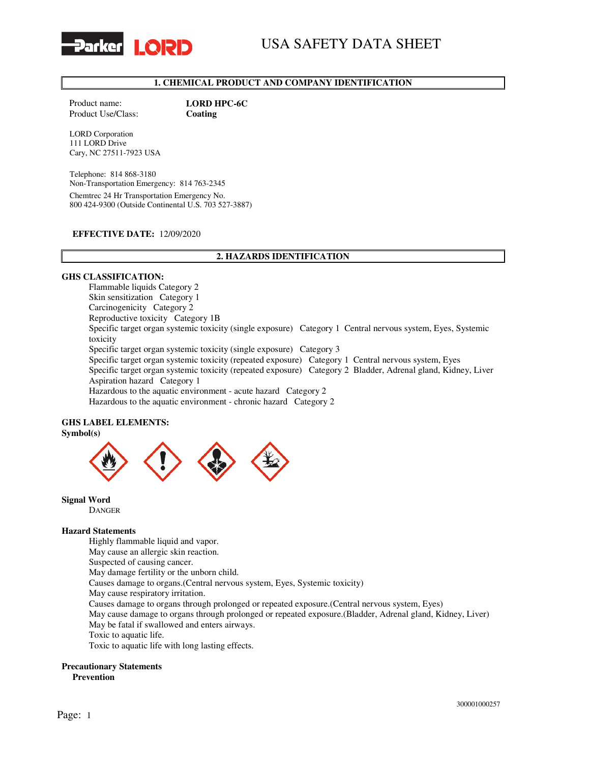

# USA SAFETY DATA SHEET

# 1. CHEMICAL PRODUCT AND COMPANY IDENTIFICATION

Product Use/Class: Coating

Product name: LORD HPC-6C

LORD Corporation 111 LORD Drive Cary, NC 27511-7923 USA

Telephone: 814 868-3180 Non-Transportation Emergency: 814 763-2345 Chemtrec 24 Hr Transportation Emergency No. 800 424-9300 (Outside Continental U.S. 703 527-3887)

#### EFFECTIVE DATE: 12/09/2020

# 2. HAZARDS IDENTIFICATION

#### GHS CLASSIFICATION:

Flammable liquids Category 2 Skin sensitization Category 1 Carcinogenicity Category 2 Reproductive toxicity Category 1B Specific target organ systemic toxicity (single exposure) Category 1 Central nervous system, Eyes, Systemic toxicity Specific target organ systemic toxicity (single exposure) Category 3 Specific target organ systemic toxicity (repeated exposure) Category 1 Central nervous system, Eyes Specific target organ systemic toxicity (repeated exposure) Category 2 Bladder, Adrenal gland, Kidney, Liver Aspiration hazard Category 1 Hazardous to the aquatic environment - acute hazard Category 2 Hazardous to the aquatic environment - chronic hazard Category 2

#### GHS LABEL ELEMENTS: Symbol(s)



Signal Word

DANGER

#### Hazard Statements

Highly flammable liquid and vapor.

May cause an allergic skin reaction.

Suspected of causing cancer.

May damage fertility or the unborn child.

Causes damage to organs.(Central nervous system, Eyes, Systemic toxicity)

May cause respiratory irritation.

Causes damage to organs through prolonged or repeated exposure.(Central nervous system, Eyes)

May cause damage to organs through prolonged or repeated exposure.(Bladder, Adrenal gland, Kidney, Liver) May be fatal if swallowed and enters airways.

Toxic to aquatic life.

Toxic to aquatic life with long lasting effects.

#### Precautionary Statements

Prevention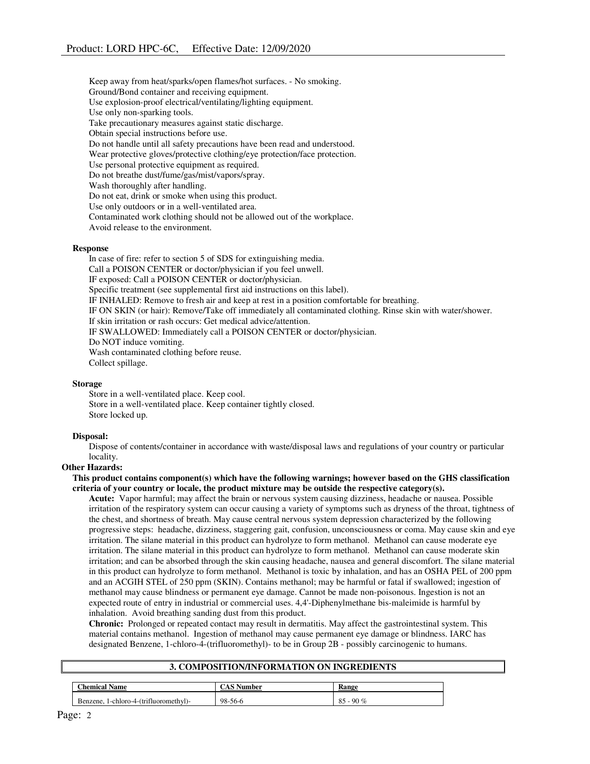Keep away from heat/sparks/open flames/hot surfaces. - No smoking. Ground/Bond container and receiving equipment. Use explosion-proof electrical/ventilating/lighting equipment. Use only non-sparking tools. Take precautionary measures against static discharge. Obtain special instructions before use. Do not handle until all safety precautions have been read and understood. Wear protective gloves/protective clothing/eye protection/face protection. Use personal protective equipment as required. Do not breathe dust/fume/gas/mist/vapors/spray. Wash thoroughly after handling. Do not eat, drink or smoke when using this product. Use only outdoors or in a well-ventilated area. Contaminated work clothing should not be allowed out of the workplace. Avoid release to the environment.

#### Response

In case of fire: refer to section 5 of SDS for extinguishing media. Call a POISON CENTER or doctor/physician if you feel unwell. IF exposed: Call a POISON CENTER or doctor/physician. Specific treatment (see supplemental first aid instructions on this label). IF INHALED: Remove to fresh air and keep at rest in a position comfortable for breathing. IF ON SKIN (or hair): Remove/Take off immediately all contaminated clothing. Rinse skin with water/shower. If skin irritation or rash occurs: Get medical advice/attention. IF SWALLOWED: Immediately call a POISON CENTER or doctor/physician. Do NOT induce vomiting. Wash contaminated clothing before reuse. Collect spillage.

#### **Storage**

Store in a well-ventilated place. Keep cool. Store in a well-ventilated place. Keep container tightly closed. Store locked up.

#### Disposal:

Dispose of contents/container in accordance with waste/disposal laws and regulations of your country or particular locality.

# Other Hazards:

#### This product contains component(s) which have the following warnings; however based on the GHS classification criteria of your country or locale, the product mixture may be outside the respective category(s).

Acute: Vapor harmful; may affect the brain or nervous system causing dizziness, headache or nausea. Possible irritation of the respiratory system can occur causing a variety of symptoms such as dryness of the throat, tightness of the chest, and shortness of breath. May cause central nervous system depression characterized by the following progressive steps: headache, dizziness, staggering gait, confusion, unconsciousness or coma. May cause skin and eye irritation. The silane material in this product can hydrolyze to form methanol. Methanol can cause moderate eye irritation. The silane material in this product can hydrolyze to form methanol. Methanol can cause moderate skin irritation; and can be absorbed through the skin causing headache, nausea and general discomfort. The silane material in this product can hydrolyze to form methanol. Methanol is toxic by inhalation, and has an OSHA PEL of 200 ppm and an ACGIH STEL of 250 ppm (SKIN). Contains methanol; may be harmful or fatal if swallowed; ingestion of methanol may cause blindness or permanent eye damage. Cannot be made non-poisonous. Ingestion is not an expected route of entry in industrial or commercial uses. 4,4'-Diphenylmethane bis-maleimide is harmful by inhalation. Avoid breathing sanding dust from this product.

Chronic: Prolonged or repeated contact may result in dermatitis. May affect the gastrointestinal system. This material contains methanol. Ingestion of methanol may cause permanent eye damage or blindness. IARC has designated Benzene, 1-chloro-4-(trifluoromethyl)- to be in Group 2B - possibly carcinogenic to humans.

#### 3. COMPOSITION/INFORMATION ON INGREDIENTS

| <b>Chemical Name</b>                       | vumber  | Range        |
|--------------------------------------------|---------|--------------|
| - 1-chloro-4-(trifluoromethyl)<br>Benzene. | 98-56-6 | 85<br>- 90 % |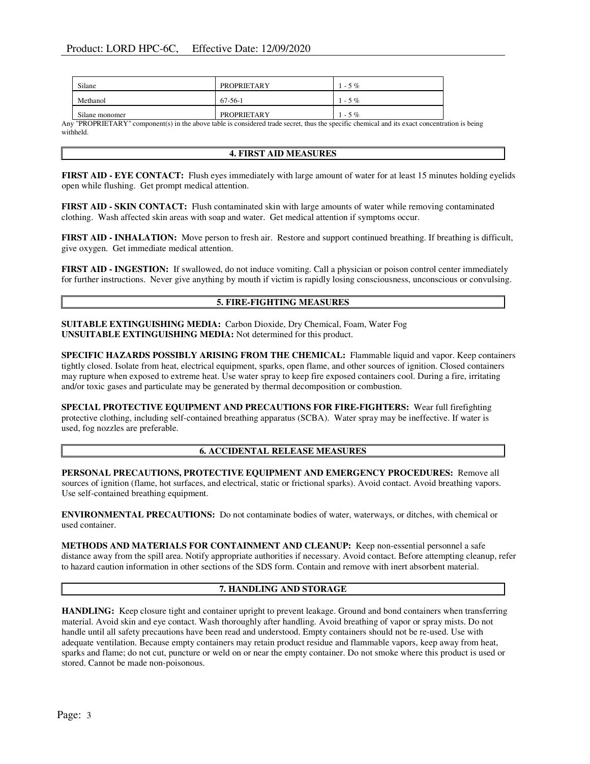| Silane         | PROPRIETARY | $1 - 5\%$ |
|----------------|-------------|-----------|
| Methanol       | 67-56-1     | $1 - 5\%$ |
| Silane monomer | PROPRIETARY | $1 - 5\%$ |

Any "PROPRIETARY" component(s) in the above table is considered trade secret, thus the specific chemical and its exact concentration is being withheld.

# 4. FIRST AID MEASURES

FIRST AID - EYE CONTACT: Flush eyes immediately with large amount of water for at least 15 minutes holding eyelids open while flushing. Get prompt medical attention.

FIRST AID - SKIN CONTACT: Flush contaminated skin with large amounts of water while removing contaminated clothing. Wash affected skin areas with soap and water. Get medical attention if symptoms occur.

FIRST AID - INHALATION: Move person to fresh air. Restore and support continued breathing. If breathing is difficult, give oxygen. Get immediate medical attention.

FIRST AID - INGESTION: If swallowed, do not induce vomiting. Call a physician or poison control center immediately for further instructions. Never give anything by mouth if victim is rapidly losing consciousness, unconscious or convulsing.

# 5. FIRE-FIGHTING MEASURES

SUITABLE EXTINGUISHING MEDIA: Carbon Dioxide, Dry Chemical, Foam, Water Fog UNSUITABLE EXTINGUISHING MEDIA: Not determined for this product.

SPECIFIC HAZARDS POSSIBLY ARISING FROM THE CHEMICAL: Flammable liquid and vapor. Keep containers tightly closed. Isolate from heat, electrical equipment, sparks, open flame, and other sources of ignition. Closed containers may rupture when exposed to extreme heat. Use water spray to keep fire exposed containers cool. During a fire, irritating and/or toxic gases and particulate may be generated by thermal decomposition or combustion.

SPECIAL PROTECTIVE EQUIPMENT AND PRECAUTIONS FOR FIRE-FIGHTERS: Wear full firefighting protective clothing, including self-contained breathing apparatus (SCBA). Water spray may be ineffective. If water is used, fog nozzles are preferable.

# 6. ACCIDENTAL RELEASE MEASURES

PERSONAL PRECAUTIONS, PROTECTIVE EQUIPMENT AND EMERGENCY PROCEDURES: Remove all sources of ignition (flame, hot surfaces, and electrical, static or frictional sparks). Avoid contact. Avoid breathing vapors. Use self-contained breathing equipment.

ENVIRONMENTAL PRECAUTIONS: Do not contaminate bodies of water, waterways, or ditches, with chemical or used container.

METHODS AND MATERIALS FOR CONTAINMENT AND CLEANUP: Keep non-essential personnel a safe distance away from the spill area. Notify appropriate authorities if necessary. Avoid contact. Before attempting cleanup, refer to hazard caution information in other sections of the SDS form. Contain and remove with inert absorbent material.

# 7. HANDLING AND STORAGE

HANDLING: Keep closure tight and container upright to prevent leakage. Ground and bond containers when transferring material. Avoid skin and eye contact. Wash thoroughly after handling. Avoid breathing of vapor or spray mists. Do not handle until all safety precautions have been read and understood. Empty containers should not be re-used. Use with adequate ventilation. Because empty containers may retain product residue and flammable vapors, keep away from heat, sparks and flame; do not cut, puncture or weld on or near the empty container. Do not smoke where this product is used or stored. Cannot be made non-poisonous.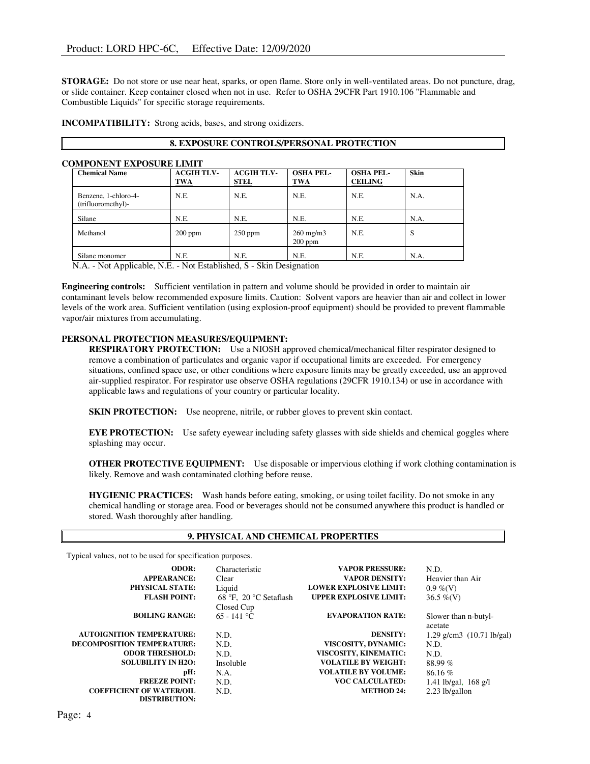STORAGE: Do not store or use near heat, sparks, or open flame. Store only in well-ventilated areas. Do not puncture, drag, or slide container. Keep container closed when not in use. Refer to OSHA 29CFR Part 1910.106 "Flammable and Combustible Liquids" for specific storage requirements.

INCOMPATIBILITY: Strong acids, bases, and strong oxidizers.

# 8. EXPOSURE CONTROLS/PERSONAL PROTECTION

#### COMPONENT EXPOSURE LIMIT

| <b>Chemical Name</b>                                                                                                                                                                                                                                                                                                                                      | <b>ACGIH TLV-</b><br><b>TWA</b> | <b>ACGIH TLV-</b><br><b>STEL</b> | <b>OSHA PEL-</b><br><b>TWA</b>  | <b>OSHA PEL-</b><br><b>CEILING</b> | <b>Skin</b> |
|-----------------------------------------------------------------------------------------------------------------------------------------------------------------------------------------------------------------------------------------------------------------------------------------------------------------------------------------------------------|---------------------------------|----------------------------------|---------------------------------|------------------------------------|-------------|
| Benzene, 1-chloro-4-<br>(trifluoromethyl)-                                                                                                                                                                                                                                                                                                                | N.E.                            | N.E.                             | N.E.                            | N.E.                               | N.A.        |
| Silane                                                                                                                                                                                                                                                                                                                                                    | N.E.                            | N.E.                             | N.E.                            | N.E.                               | N.A.        |
| Methanol                                                                                                                                                                                                                                                                                                                                                  | $200$ ppm                       | $250$ ppm                        | $260 \text{ mg/m}$<br>$200$ ppm | N.E.                               | S           |
| Silane monomer<br>$\mathbf{M}$ $\mathbf{A}$ $\mathbf{M}$ , $\mathbf{A}$ and $\mathbf{M}$ , $\mathbf{M}$ $\mathbf{H}$ $\mathbf{M}$ , $\mathbf{M}$ , $\mathbf{M}$ , $\mathbf{L}$ , $\mathbf{L}$ , $\mathbf{L}$ , $\mathbf{L}$ , $\mathbf{L}$ , $\mathbf{L}$ , $\mathbf{L}$ , $\mathbf{L}$ , $\mathbf{L}$ , $\mathbf{L}$ , $\mathbf{L}$ , $\mathbf{L}$ , $\$ | N.E.                            | N.E.                             | N.E.                            | N.E.                               | N.A.        |

N.A. - Not Applicable, N.E. - Not Established, S - Skin Designation

Engineering controls: Sufficient ventilation in pattern and volume should be provided in order to maintain air contaminant levels below recommended exposure limits. Caution: Solvent vapors are heavier than air and collect in lower levels of the work area. Sufficient ventilation (using explosion-proof equipment) should be provided to prevent flammable vapor/air mixtures from accumulating.

# PERSONAL PROTECTION MEASURES/EQUIPMENT:

RESPIRATORY PROTECTION: Use a NIOSH approved chemical/mechanical filter respirator designed to remove a combination of particulates and organic vapor if occupational limits are exceeded. For emergency situations, confined space use, or other conditions where exposure limits may be greatly exceeded, use an approved air-supplied respirator. For respirator use observe OSHA regulations (29CFR 1910.134) or use in accordance with applicable laws and regulations of your country or particular locality.

SKIN PROTECTION: Use neoprene, nitrile, or rubber gloves to prevent skin contact.

EYE PROTECTION: Use safety eyewear including safety glasses with side shields and chemical goggles where splashing may occur.

OTHER PROTECTIVE EQUIPMENT: Use disposable or impervious clothing if work clothing contamination is likely. Remove and wash contaminated clothing before reuse.

HYGIENIC PRACTICES: Wash hands before eating, smoking, or using toilet facility. Do not smoke in any chemical handling or storage area. Food or beverages should not be consumed anywhere this product is handled or stored. Wash thoroughly after handling.

# 9. PHYSICAL AND CHEMICAL PROPERTIES

Typical values, not to be used for specification purposes.

| ODOR:                            | Characteristic         | <b>VAPOR PRESSURE:</b>        | N.D.                          |
|----------------------------------|------------------------|-------------------------------|-------------------------------|
| <b>APPEARANCE:</b>               | Clear                  | <b>VAPOR DENSITY:</b>         | Heavier than Air              |
| <b>PHYSICAL STATE:</b>           | Liquid                 | <b>LOWER EXPLOSIVE LIMIT:</b> | $0.9\%$ (V)                   |
| <b>FLASH POINT:</b>              | 68 °F, 20 °C Setaflash | <b>UPPER EXPLOSIVE LIMIT:</b> | $36.5\%$ (V)                  |
|                                  | Closed Cup             |                               |                               |
| <b>BOILING RANGE:</b>            | $65 - 141$ °C          | <b>EVAPORATION RATE:</b>      | Slower than n-butyl-          |
|                                  |                        |                               | acetate                       |
| <b>AUTOIGNITION TEMPERATURE:</b> | N.D.                   | <b>DENSITY:</b>               | $1.29$ g/cm3 $(10.71$ lb/gal) |
| DECOMPOSITION TEMPERATURE:       | N.D.                   | VISCOSITY, DYNAMIC:           | N.D.                          |
| <b>ODOR THRESHOLD:</b>           | N.D.                   | VISCOSITY, KINEMATIC:         | N.D.                          |
| <b>SOLUBILITY IN H2O:</b>        | Insoluble              | <b>VOLATILE BY WEIGHT:</b>    | 88.99%                        |
| pH:                              | N.A.                   | <b>VOLATILE BY VOLUME:</b>    | 86.16%                        |
| <b>FREEZE POINT:</b>             | N.D.                   | <b>VOC CALCULATED:</b>        | 1.41 lb/gal, $168$ g/l        |
| <b>COEFFICIENT OF WATER/OIL</b>  | N.D.                   | <b>METHOD 24:</b>             | 2.23 lb/gallon                |
| <b>DISTRIBUTION:</b>             |                        |                               |                               |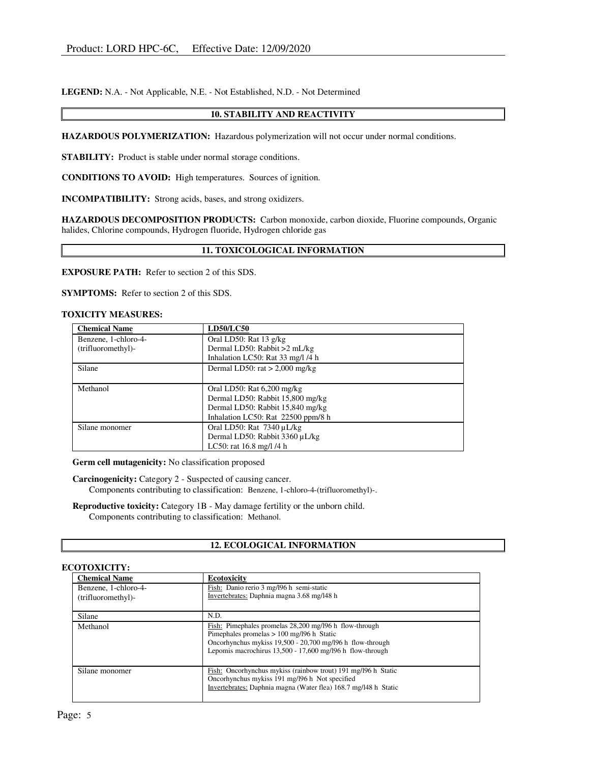LEGEND: N.A. - Not Applicable, N.E. - Not Established, N.D. - Not Determined

# 10. STABILITY AND REACTIVITY

HAZARDOUS POLYMERIZATION: Hazardous polymerization will not occur under normal conditions.

STABILITY: Product is stable under normal storage conditions.

CONDITIONS TO AVOID: High temperatures. Sources of ignition.

INCOMPATIBILITY: Strong acids, bases, and strong oxidizers.

HAZARDOUS DECOMPOSITION PRODUCTS: Carbon monoxide, carbon dioxide, Fluorine compounds, Organic halides, Chlorine compounds, Hydrogen fluoride, Hydrogen chloride gas

# 11. TOXICOLOGICAL INFORMATION

EXPOSURE PATH: Refer to section 2 of this SDS.

SYMPTOMS: Refer to section 2 of this SDS.

#### TOXICITY MEASURES:

| <b>Chemical Name</b> | <b>LD50/LC50</b>                   |
|----------------------|------------------------------------|
| Benzene, 1-chloro-4- | Oral LD50: Rat 13 g/kg             |
| (trifluoromethyl)-   | Dermal LD50: Rabbit >2 mL/kg       |
|                      | Inhalation LC50: Rat 33 mg/l /4 h  |
| Silane               | Dermal LD50: rat $> 2,000$ mg/kg   |
|                      |                                    |
| Methanol             | Oral LD50: Rat $6,200$ mg/kg       |
|                      | Dermal LD50: Rabbit 15,800 mg/kg   |
|                      | Dermal LD50: Rabbit 15,840 mg/kg   |
|                      | Inhalation LC50: Rat 22500 ppm/8 h |
| Silane monomer       | Oral LD50: Rat $7340 \mu L/kg$     |
|                      | Dermal LD50: Rabbit 3360 µL/kg     |
|                      | LC50: rat $16.8$ mg/l $/4$ h       |

Germ cell mutagenicity: No classification proposed

Carcinogenicity: Category 2 - Suspected of causing cancer. Components contributing to classification: Benzene, 1-chloro-4-(trifluoromethyl)-.

Reproductive toxicity: Category 1B - May damage fertility or the unborn child. Components contributing to classification: Methanol.

# 12. ECOLOGICAL INFORMATION

# ECOTOXICITY:

| <b>Chemical Name</b>                       | Ecotoxicity                                                                                                                                                                                                                       |
|--------------------------------------------|-----------------------------------------------------------------------------------------------------------------------------------------------------------------------------------------------------------------------------------|
| Benzene, 1-chloro-4-<br>(trifluoromethyl)- | Fish: Danio rerio 3 mg/196 h semi-static<br>Invertebrates: Daphnia magna 3.68 mg/l48 h                                                                                                                                            |
|                                            |                                                                                                                                                                                                                                   |
| Silane                                     | N.D.                                                                                                                                                                                                                              |
| Methanol                                   | Fish: Pimephales promelas 28,200 mg/l96 h flow-through<br>Pimephales promelas $> 100$ mg/196 h Static<br>Oncorhynchus mykiss 19,500 - 20,700 mg/l96 h flow-through<br>Lepomis macrochirus $13,500 - 17,600$ mg/l96 h flow-through |
| Silane monomer                             | Fish: Oncorhynchus mykiss (rainbow trout) 191 mg/196 h Static<br>Oncorhynchus mykiss 191 mg/l96 h Not specified<br>Invertebrates: Daphnia magna (Water flea) 168.7 mg/l48 h Static                                                |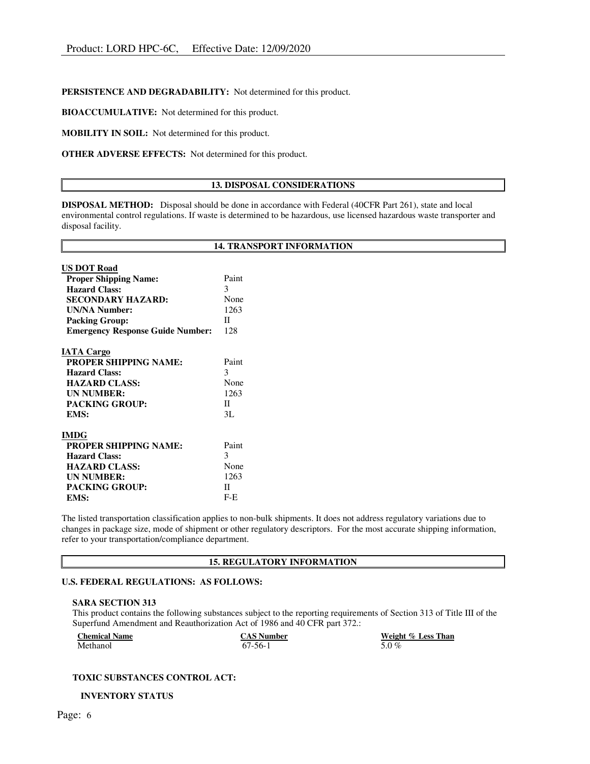# PERSISTENCE AND DEGRADABILITY: Not determined for this product.

BIOACCUMULATIVE: Not determined for this product.

MOBILITY IN SOIL: Not determined for this product.

OTHER ADVERSE EFFECTS: Not determined for this product.

# 13. DISPOSAL CONSIDERATIONS

DISPOSAL METHOD: Disposal should be done in accordance with Federal (40CFR Part 261), state and local environmental control regulations. If waste is determined to be hazardous, use licensed hazardous waste transporter and disposal facility.

|                                         | <b>14. TRANSPORT INFORMATION</b> |
|-----------------------------------------|----------------------------------|
|                                         |                                  |
| <b>US DOT Road</b>                      |                                  |
| <b>Proper Shipping Name:</b>            | Paint                            |
| <b>Hazard Class:</b>                    | 3                                |
| <b>SECONDARY HAZARD:</b>                | None                             |
| <b>UN/NA Number:</b>                    | 1263                             |
| <b>Packing Group:</b>                   | Π                                |
| <b>Emergency Response Guide Number:</b> | 128                              |
| <b>IATA Cargo</b>                       |                                  |
| <b>PROPER SHIPPING NAME:</b>            | Paint                            |
| <b>Hazard Class:</b>                    | 3                                |
| <b>HAZARD CLASS:</b>                    | None                             |
| <b>UN NUMBER:</b>                       | 1263                             |
| <b>PACKING GROUP:</b>                   | $\mathbf{H}$                     |
| EMS:                                    | 3L                               |
| <b>IMDG</b>                             |                                  |
| <b>PROPER SHIPPING NAME:</b>            | Paint                            |
| <b>Hazard Class:</b>                    | 3                                |
| <b>HAZARD CLASS:</b>                    | None                             |
| <b>UN NUMBER:</b>                       | 1263                             |
| <b>PACKING GROUP:</b>                   | П                                |
| EMS:                                    | $F-E$                            |

The listed transportation classification applies to non-bulk shipments. It does not address regulatory variations due to changes in package size, mode of shipment or other regulatory descriptors. For the most accurate shipping information, refer to your transportation/compliance department.

# 15. REGULATORY INFORMATION

# U.S. FEDERAL REGULATIONS: AS FOLLOWS:

#### SARA SECTION 313

This product contains the following substances subject to the reporting requirements of Section 313 of Title III of the Superfund Amendment and Reauthorization Act of 1986 and 40 CFR part 372.:

| <b>Chemical Name</b> | <b>CAS Number</b> | Weight % Less Than |
|----------------------|-------------------|--------------------|
| Methanol             | $67-56-1$         | 5.0 $%$            |

#### TOXIC SUBSTANCES CONTROL ACT:

INVENTORY STATUS

 $\mathbb{F}$